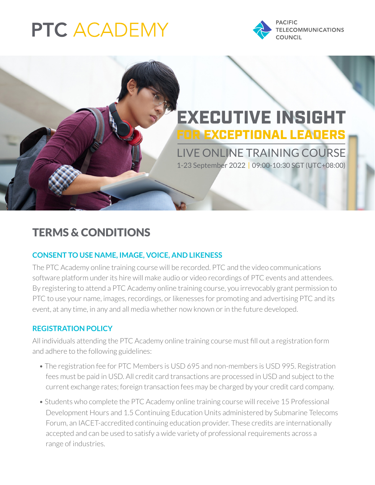# **PTC ACADEMY**



## EXECUTIVE INSIGHT FOR EXCEPTIONAL LEADERS

LIVE ONLINE TRAINING COURSE 1-23 September 2022 | 09:00-10:30 SGT (UTC+08:00)

### TERMS & CONDITIONS

#### **CONSENT TO USE NAME, IMAGE, VOICE, AND LIKENESS**

The PTC Academy online training course will be recorded. PTC and the video communications software platform under its hire will make audio or video recordings of PTC events and attendees. By registering to attend a PTC Academy online training course, you irrevocably grant permission to PTC to use your name, images, recordings, or likenesses for promoting and advertising PTC and its event, at any time, in any and all media whether now known or in the future developed.

#### **REGISTRATION POLICY**

All individuals attending the PTC Academy online training course must fill out a registration form and adhere to the following guidelines:

- The registration fee for PTC Members is USD 695 and non-members is USD 995. Registration fees must be paid in USD. All credit card transactions are processed in USD and subject to the current exchange rates; foreign transaction fees may be charged by your credit card company.
- Students who complete the PTC Academy online training course will receive 15 Professional Development Hours and 1.5 Continuing Education Units administered by Submarine Telecoms Forum, an IACET-accredited continuing education provider. These credits are internationally accepted and can be used to satisfy a wide variety of professional requirements across a range of industries.